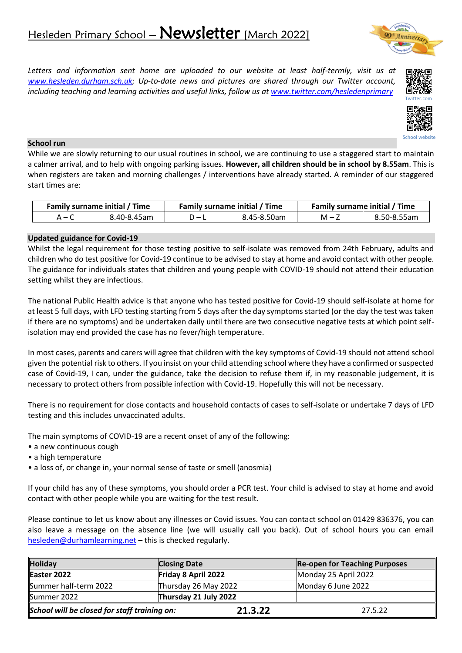# Hesleden Primary School - Newsletter [March 2022]

Annie

*Letters and information sent home are uploaded to our website at least half-termly, visit us at [www.hesleden.durham.sch.uk;](http://www.hesleden.durham.sch.uk/) Up-to-date news and pictures are shared through our Twitter account, including teaching and learning activities and useful links, follow us at [www.twitter.com/hesledenprimary](http://www.twitter.com/hesledenprimary)*



School website

#### **School run**

While we are slowly returning to our usual routines in school, we are continuing to use a staggered start to maintain a calmer arrival, and to help with ongoing parking issues. **However, all children should be in school by 8.55am**. This is when registers are taken and morning challenges / interventions have already started. A reminder of our staggered start times are:

| Family surname initial / Time |             | Family surname initial / Time |             | Family surname initial / Time |             |
|-------------------------------|-------------|-------------------------------|-------------|-------------------------------|-------------|
| $A - C$                       | 8.40-8.45am |                               | 8.45-8.50am | $M - 7$                       | 8.50-8.55am |

## **Updated guidance for Covid-19**

Whilst the legal requirement for those testing positive to self-isolate was removed from 24th February, adults and children who do test positive for Covid-19 continue to be advised to stay at home and avoid contact with other people. The guidance for individuals states that children and young people with COVID-19 should not attend their education setting whilst they are infectious.

The national Public Health advice is that anyone who has tested positive for Covid-19 should self-isolate at home for at least 5 full days, with LFD testing starting from 5 days after the day symptoms started (or the day the test was taken if there are no symptoms) and be undertaken daily until there are two consecutive negative tests at which point selfisolation may end provided the case has no fever/high temperature.

In most cases, parents and carers will agree that children with the key symptoms of Covid-19 should not attend school given the potential risk to others. If you insist on your child attending school where they have a confirmed or suspected case of Covid-19, I can, under the guidance, take the decision to refuse them if, in my reasonable judgement, it is necessary to protect others from possible infection with Covid-19. Hopefully this will not be necessary.

There is no requirement for close contacts and household contacts of cases to self-isolate or undertake 7 days of LFD testing and this includes unvaccinated adults.

The main symptoms of COVID-19 are a recent onset of any of the following:

- a new continuous cough
- a high temperature
- a loss of, or change in, your normal sense of taste or smell (anosmia)

If your child has any of these symptoms, you should order a PCR test. Your child is advised to stay at home and avoid contact with other people while you are waiting for the test result.

Please continue to let us know about any illnesses or Covid issues. You can contact school on 01429 836376, you can also leave a message on the absence line (we will usually call you back). Out of school hours you can email [hesleden@durhamlearning.net](mailto:hesleden@durhamlearning.net) - this is checked regularly.

| <b>Holiday</b><br><b>Closing Date</b>        |                       |         | <b>Re-open for Teaching Purposes</b> |  |
|----------------------------------------------|-----------------------|---------|--------------------------------------|--|
| Easter 2022                                  | Friday 8 April 2022   |         | Monday 25 April 2022                 |  |
| Summer half-term 2022                        | Thursday 26 May 2022  |         | Monday 6 June 2022                   |  |
| Summer 2022                                  | Thursday 21 July 2022 |         |                                      |  |
| School will be closed for staff training on: |                       | 21.3.22 | 27.5.22                              |  |